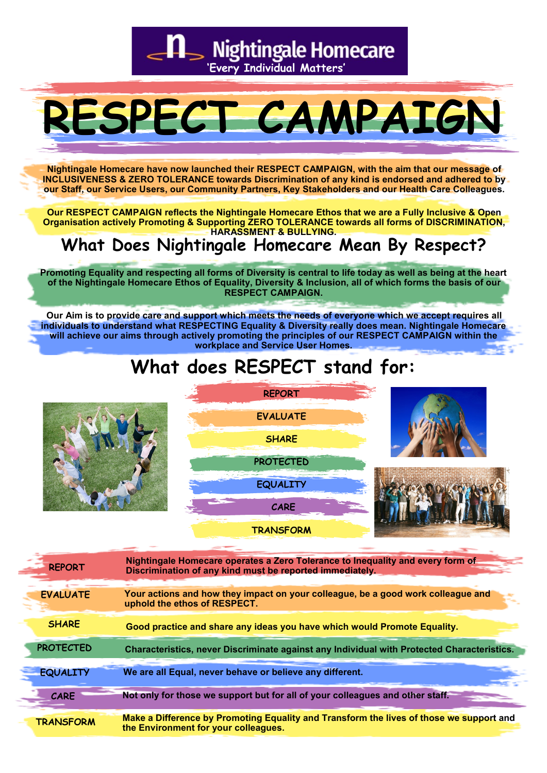S Nightingale Homecare

**'Every Individual Matters'**

# **RESPECT CAMPAIGN**

**Nightingale Homecare have now launched their RESPECT CAMPAIGN, with the aim that our message of INCLUSIVENESS & ZERO TOLERANCE towards Discrimination of any kind is endorsed and adhered to by our Staff, our Service Users, our Community Partners, Key Stakeholders and our Health Care Colleagues.** 

**Our RESPECT CAMPAIGN reflects the Nightingale Homecare Ethos that we are a Fully Inclusive & Open Organisation actively Promoting & Supporting ZERO TOLERANCE towards all forms of DISCRIMINATION, HARASSMENT & BULLYING.** 

## **What Does Nightingale Homecare Mean By Respect?**

**Promoting Equality and respecting all forms of Diversity is central to life today as well as being at the heart of the Nightingale Homecare Ethos of Equality, Diversity & Inclusion, all of which forms the basis of our RESPECT CAMPAIGN.** 

**Our Aim is to provide care and support which meets the needs of everyone which we accept requires all individuals to understand what RESPECTING Equality & Diversity really does mean. Nightingale Homecare will achieve our aims through actively promoting the principles of our RESPECT CAMPAIGN within the workplace and Service User Homes.** 

# **What does RESPECT stand for:**





**TRANSFORM** 





| <b>REPORT</b>    | Nightingale Homecare operates a Zero Tolerance to Inequality and every form of<br>Discrimination of any kind must be reported immediately. |
|------------------|--------------------------------------------------------------------------------------------------------------------------------------------|
| <b>EVALUATE</b>  | Your actions and how they impact on your colleague, be a good work colleague and<br>uphold the ethos of RESPECT.                           |
| <b>SHARE</b>     | Good practice and share any ideas you have which would Promote Equality.                                                                   |
| <b>PROTECTED</b> | Characteristics, never Discriminate against any Individual with Protected Characteristics.                                                 |
| <b>EQUALITY</b>  | We are all Equal, never behave or believe any different.                                                                                   |
| <b>CARE</b>      | Not only for those we support but for all of your colleagues and other staff.                                                              |
| <b>TRANSFORM</b> | Make a Difference by Promoting Equality and Transform the lives of those we support and<br>the Environment for your colleagues.            |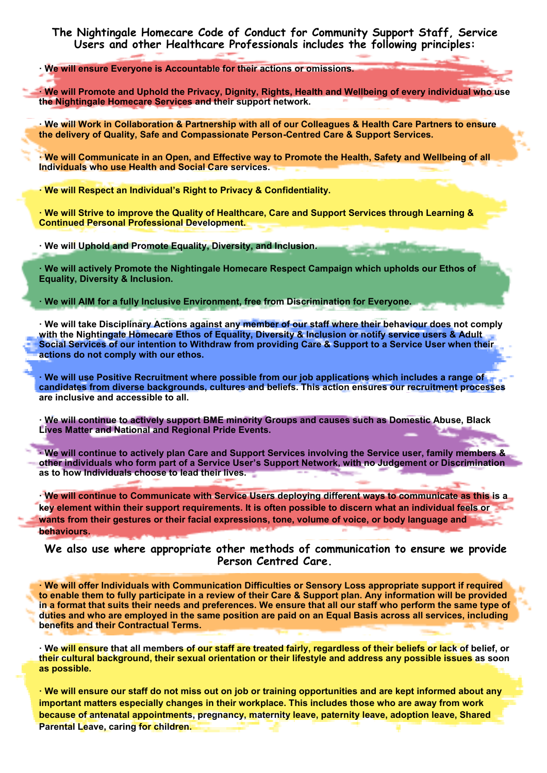#### **The Nightingale Homecare Code of Conduct for Community Support Staff, Service Users and other Healthcare Professionals includes the following principles:**

**· We will ensure Everyone is Accountable for their actions or omissions.**

**· We will Promote and Uphold the Privacy, Dignity, Rights, Health and Wellbeing of every individual who use the Nightingale Homecare Services and their support network.**

**· We will Work in Collaboration & Partnership with all of our Colleagues & Health Care Partners to ensure the delivery of Quality, Safe and Compassionate Person-Centred Care & Support Services.**

**· We will Communicate in an Open, and Effective way to Promote the Health, Safety and Wellbeing of all Individuals who use Health and Social Care services.**

**· We will Respect an Individual's Right to Privacy & Confidentiality.**

**· We will Strive to improve the Quality of Healthcare, Care and Support Services through Learning & Continued Personal Professional Development.**

**· We will Uphold and Promote Equality, Diversity, and Inclusion.**

**· We will actively Promote the Nightingale Homecare Respect Campaign which upholds our Ethos of Equality, Diversity & Inclusion.**

**· We will AIM for a fully Inclusive Environment, free from Discrimination for Everyone.**

**· We will take Disciplinary Actions against any member of our staff where their behaviour does not comply with the Nightingale Homecare Ethos of Equality, Diversity & Inclusion or notify service users & Adult Social Services of our intention to Withdraw from providing Care & Support to a Service User when their actions do not comply with our ethos.**

**· We will use Positive Recruitment where possible from our job applications which includes a range of candidates from diverse backgrounds, cultures and beliefs. This action ensures our recruitment processes are inclusive and accessible to all.**

**· We will continue to actively support BME minority Groups and causes such as Domestic Abuse, Black Lives Matter and National and Regional Pride Events.**

**· We will continue to actively plan Care and Support Services involving the Service user, family members & other individuals who form part of a Service User's Support Network, with no Judgement or Discrimination as to how Individuals choose to lead their lives.**

**· We will continue to Communicate with Service Users deploying different ways to communicate as this is a key element within their support requirements. It is often possible to discern what an individual feels or wants from their gestures or their facial expressions, tone, volume of voice, or body language and behaviours.**

**We also use where appropriate other methods of communication to ensure we provide Person Centred Care.**

**· We will offer Individuals with Communication Difficulties or Sensory Loss appropriate support if required to enable them to fully participate in a review of their Care & Support plan. Any information will be provided in a format that suits their needs and preferences. We ensure that all our staff who perform the same type of duties and who are employed in the same position are paid on an Equal Basis across all services, including benefits and their Contractual Terms.**

**· We will ensure that all members of our staff are treated fairly, regardless of their beliefs or lack of belief, or their cultural background, their sexual orientation or their lifestyle and address any possible issues as soon as possible.**

**· We will ensure our staff do not miss out on job or training opportunities and are kept informed about any important matters especially changes in their workplace. This includes those who are away from work because of antenatal appointments, pregnancy, maternity leave, paternity leave, adoption leave, Shared Parental Leave, caring for children.**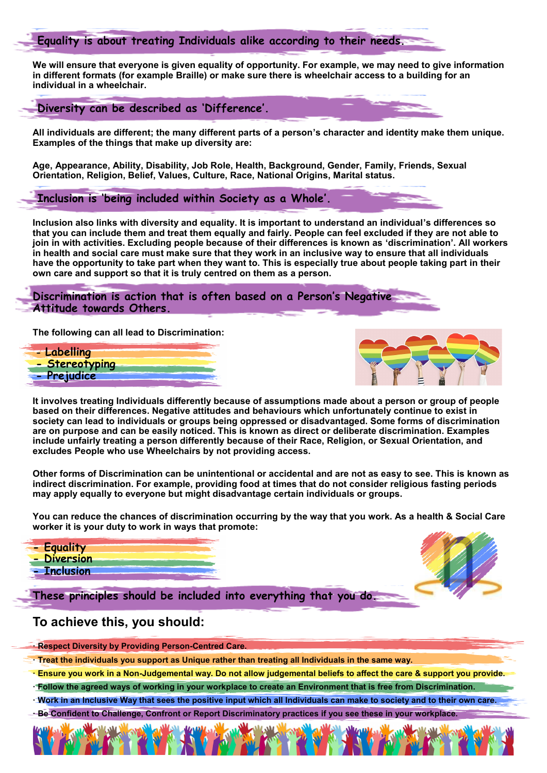#### **Equality is about treating Individuals alike according to their needs.**

**We will ensure that everyone is given equality of opportunity. For example, we may need to give information in different formats (for example Braille) or make sure there is wheelchair access to a building for an individual in a wheelchair.**

**Diversity can be described as 'Difference'.**

**All individuals are different; the many different parts of a person's character and identity make them unique. Examples of the things that make up diversity are:**

**Age, Appearance, Ability, Disability, Job Role, Health, Background, Gender, Family, Friends, Sexual Orientation, Religion, Belief, Values, Culture, Race, National Origins, Marital status.**

**Inclusion is 'being included within Society as a Whole'.**

**Inclusion also links with diversity and equality. It is important to understand an individual's differences so that you can include them and treat them equally and fairly. People can feel excluded if they are not able to join in with activities. Excluding people because of their differences is known as 'discrimination'. All workers in health and social care must make sure that they work in an inclusive way to ensure that all individuals have the opportunity to take part when they want to. This is especially true about people taking part in their own care and support so that it is truly centred on them as a person.**

**Discrimination is action that is often based on a Person's Negative Attitude towards Others.**

**The following can all lead to Discrimination:**





**It involves treating Individuals differently because of assumptions made about a person or group of people based on their differences. Negative attitudes and behaviours which unfortunately continue to exist in society can lead to individuals or groups being oppressed or disadvantaged. Some forms of discrimination are on purpose and can be easily noticed. This is known as direct or deliberate discrimination. Examples include unfairly treating a person differently because of their Race, Religion, or Sexual Orientation, and excludes People who use Wheelchairs by not providing access.**

**Other forms of Discrimination can be unintentional or accidental and are not as easy to see. This is known as indirect discrimination. For example, providing food at times that do not consider religious fasting periods may apply equally to everyone but might disadvantage certain individuals or groups.**

**You can reduce the chances of discrimination occurring by the way that you work. As a health & Social Care worker it is your duty to work in ways that promote:**

- **- Equality**
- **- Diversion - Inclusion**

**These principles should be included into everything that you do.**

#### **To achieve this, you should:**

- **· Respect Diversity by Providing Person-Centred Care.**
- **· Treat the individuals you support as Unique rather than treating all Individuals in the same way.**
- **· Ensure you work in a Non-Judgemental way. Do not allow judgemental beliefs to affect the care & support you provide.**
- **· Follow the agreed ways of working in your workplace to create an Environment that is free from Discrimination.**
- **· Work in an Inclusive Way that sees the positive input which all Individuals can make to society and to their own care.**
- **· Be Confident to Challenge, Confront or Report Discriminatory practices if you see these in your workplace.**